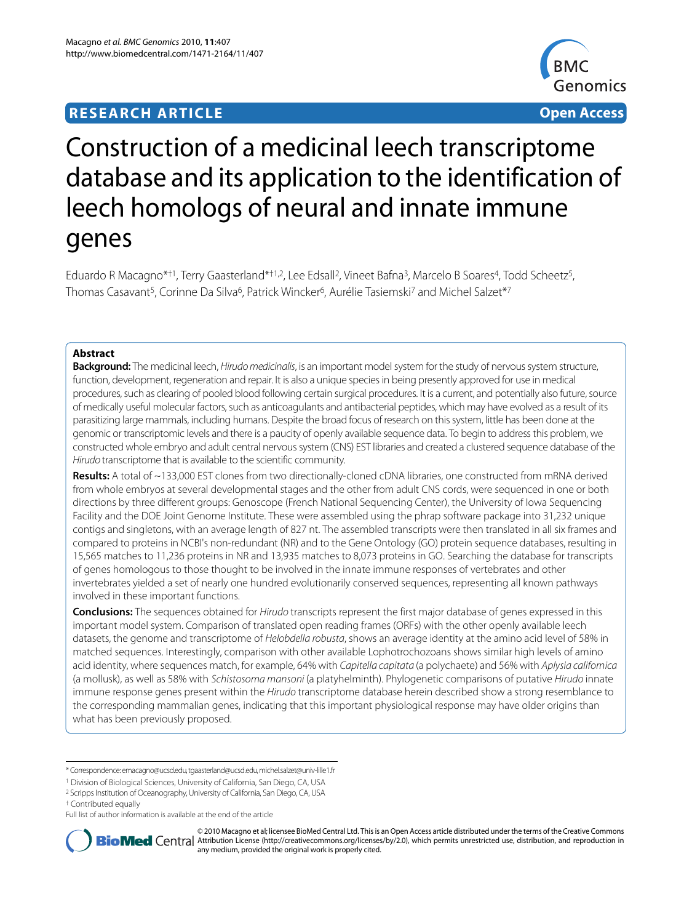## **RESEARCH ARTICLE Open Access**



# Construction of a medicinal leech transcriptome database and its application to the identification of leech homologs of neural and innate immune genes

Eduardo R Macagno\*<sup>†1</sup>, Terry Gaasterland<sup>\*†1,2</sup>, Lee Edsall<sup>2</sup>, Vineet Bafna<sup>3</sup>, Marcelo B Soares<sup>4</sup>, Todd Scheetz<sup>5</sup>, Thomas Casavant<sup>5</sup>, Corinne Da Silva<sup>6</sup>, Patrick Wincker<sup>6</sup>, Aurélie Tasiemski<sup>7</sup> and Michel Salzet<sup>\*7</sup>

## **Abstract**

**Background:** The medicinal leech, Hirudo medicinalis, is an important model system for the study of nervous system structure, function, development, regeneration and repair. It is also a unique species in being presently approved for use in medical procedures, such as clearing of pooled blood following certain surgical procedures. It is a current, and potentially also future, source of medically useful molecular factors, such as anticoagulants and antibacterial peptides, which may have evolved as a result of its parasitizing large mammals, including humans. Despite the broad focus of research on this system, little has been done at the genomic or transcriptomic levels and there is a paucity of openly available sequence data. To begin to address this problem, we constructed whole embryo and adult central nervous system (CNS) EST libraries and created a clustered sequence database of the Hirudo transcriptome that is available to the scientific community.

**Results:** A total of ~133,000 EST clones from two directionally-cloned cDNA libraries, one constructed from mRNA derived from whole embryos at several developmental stages and the other from adult CNS cords, were sequenced in one or both directions by three different groups: Genoscope (French National Sequencing Center), the University of Iowa Sequencing Facility and the DOE Joint Genome Institute. These were assembled using the phrap software package into 31,232 unique contigs and singletons, with an average length of 827 nt. The assembled transcripts were then translated in all six frames and compared to proteins in NCBI's non-redundant (NR) and to the Gene Ontology (GO) protein sequence databases, resulting in 15,565 matches to 11,236 proteins in NR and 13,935 matches to 8,073 proteins in GO. Searching the database for transcripts of genes homologous to those thought to be involved in the innate immune responses of vertebrates and other invertebrates yielded a set of nearly one hundred evolutionarily conserved sequences, representing all known pathways involved in these important functions.

**Conclusions:** The sequences obtained for *Hirudo* transcripts represent the first major database of genes expressed in this important model system. Comparison of translated open reading frames (ORFs) with the other openly available leech datasets, the genome and transcriptome of Helobdella robusta, shows an average identity at the amino acid level of 58% in matched sequences. Interestingly, comparison with other available Lophotrochozoans shows similar high levels of amino acid identity, where sequences match, for example, 64% with Capitella capitata (a polychaete) and 56% with Aplysia californica (a mollusk), as well as 58% with Schistosoma mansoni (a platyhelminth). Phylogenetic comparisons of putative Hirudo innate immune response genes present within the Hirudo transcriptome database herein described show a strong resemblance to the corresponding mammalian genes, indicating that this important physiological response may have older origins than what has been previously proposed.

Full list of author information is available at the end of the article



© 2010 Macagno et al; licensee BioMed Central Ltd. This is an Open Access article distributed under the terms of the Creative Commons **BioMed** Central Attribution License (http://creativecommons.org/licenses/by/2.0), which permits unrestricted use, distribution, and reproduction in any medium, provided the original work is properly cited.

<sup>\*</sup> Correspondence: emacagno@ucsd.edu, tgaasterland@ucsd.edu, michel.salzet@univ-lille1.fr

<sup>1</sup> Division of Biological Sciences, University of California, San Diego, CA, USA

<sup>2</sup> Scripps Institution of Oceanography, University of California, San Diego, CA, USA

<sup>†</sup> Contributed equally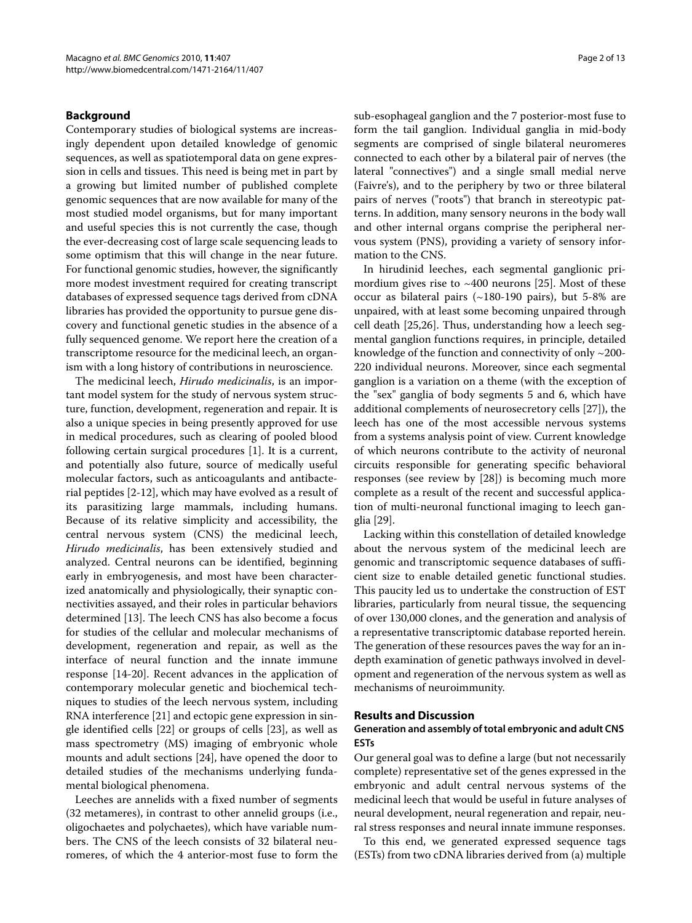## **Background**

Contemporary studies of biological systems are increasingly dependent upon detailed knowledge of genomic sequences, as well as spatiotemporal data on gene expression in cells and tissues. This need is being met in part by a growing but limited number of published complete genomic sequences that are now available for many of the most studied model organisms, but for many important and useful species this is not currently the case, though the ever-decreasing cost of large scale sequencing leads to some optimism that this will change in the near future. For functional genomic studies, however, the significantly more modest investment required for creating transcript databases of expressed sequence tags derived from cDNA libraries has provided the opportunity to pursue gene discovery and functional genetic studies in the absence of a fully sequenced genome. We report here the creation of a transcriptome resource for the medicinal leech, an organism with a long history of contributions in neuroscience.

The medicinal leech, *Hirudo medicinalis*, is an important model system for the study of nervous system structure, function, development, regeneration and repair. It is also a unique species in being presently approved for use in medical procedures, such as clearing of pooled blood following certain surgical procedures [\[1\]](#page-10-0). It is a current, and potentially also future, source of medically useful molecular factors, such as anticoagulants and antibacterial peptides [[2-](#page-10-1)[12\]](#page-10-2), which may have evolved as a result of its parasitizing large mammals, including humans. Because of its relative simplicity and accessibility, the central nervous system (CNS) the medicinal leech, *Hirudo medicinalis*, has been extensively studied and analyzed. Central neurons can be identified, beginning early in embryogenesis, and most have been characterized anatomically and physiologically, their synaptic connectivities assayed, and their roles in particular behaviors determined [[13\]](#page-10-3). The leech CNS has also become a focus for studies of the cellular and molecular mechanisms of development, regeneration and repair, as well as the interface of neural function and the innate immune response [[14-](#page-10-4)[20](#page-10-5)]. Recent advances in the application of contemporary molecular genetic and biochemical techniques to studies of the leech nervous system, including RNA interference [[21\]](#page-11-0) and ectopic gene expression in single identified cells [[22\]](#page-11-1) or groups of cells [[23](#page-11-2)], as well as mass spectrometry (MS) imaging of embryonic whole mounts and adult sections [\[24](#page-11-3)], have opened the door to detailed studies of the mechanisms underlying fundamental biological phenomena.

Leeches are annelids with a fixed number of segments (32 metameres), in contrast to other annelid groups (i.e., oligochaetes and polychaetes), which have variable numbers. The CNS of the leech consists of 32 bilateral neuromeres, of which the 4 anterior-most fuse to form the

sub-esophageal ganglion and the 7 posterior-most fuse to form the tail ganglion. Individual ganglia in mid-body segments are comprised of single bilateral neuromeres connected to each other by a bilateral pair of nerves (the lateral "connectives") and a single small medial nerve (Faivre's), and to the periphery by two or three bilateral pairs of nerves ("roots") that branch in stereotypic patterns. In addition, many sensory neurons in the body wall and other internal organs comprise the peripheral nervous system (PNS), providing a variety of sensory information to the CNS.

In hirudinid leeches, each segmental ganglionic primordium gives rise to  $~400$  neurons [\[25\]](#page-11-4). Most of these occur as bilateral pairs (~180-190 pairs), but 5-8% are unpaired, with at least some becoming unpaired through cell death [[25](#page-11-4),[26](#page-11-5)]. Thus, understanding how a leech segmental ganglion functions requires, in principle, detailed knowledge of the function and connectivity of only ~200- 220 individual neurons. Moreover, since each segmental ganglion is a variation on a theme (with the exception of the "sex" ganglia of body segments 5 and 6, which have additional complements of neurosecretory cells [[27](#page-11-6)]), the leech has one of the most accessible nervous systems from a systems analysis point of view. Current knowledge of which neurons contribute to the activity of neuronal circuits responsible for generating specific behavioral responses (see review by [[28\]](#page-11-7)) is becoming much more complete as a result of the recent and successful application of multi-neuronal functional imaging to leech ganglia [[29](#page-11-8)].

Lacking within this constellation of detailed knowledge about the nervous system of the medicinal leech are genomic and transcriptomic sequence databases of sufficient size to enable detailed genetic functional studies. This paucity led us to undertake the construction of EST libraries, particularly from neural tissue, the sequencing of over 130,000 clones, and the generation and analysis of a representative transcriptomic database reported herein. The generation of these resources paves the way for an indepth examination of genetic pathways involved in development and regeneration of the nervous system as well as mechanisms of neuroimmunity.

#### **Results and Discussion**

### **Generation and assembly of total embryonic and adult CNS ESTs**

Our general goal was to define a large (but not necessarily complete) representative set of the genes expressed in the embryonic and adult central nervous systems of the medicinal leech that would be useful in future analyses of neural development, neural regeneration and repair, neural stress responses and neural innate immune responses.

To this end, we generated expressed sequence tags (ESTs) from two cDNA libraries derived from (a) multiple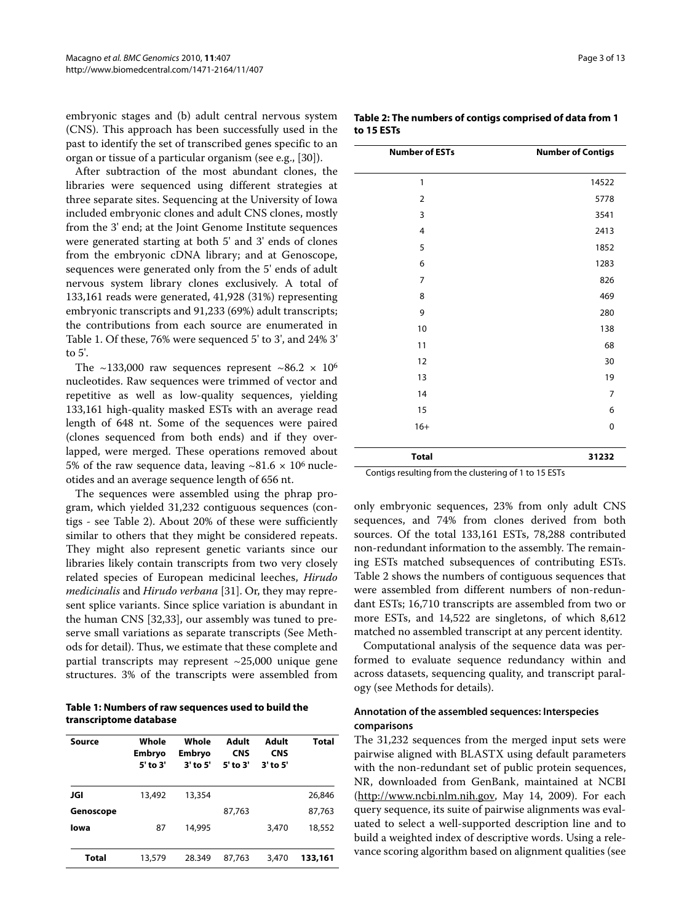embryonic stages and (b) adult central nervous system (CNS). This approach has been successfully used in the past to identify the set of transcribed genes specific to an organ or tissue of a particular organism (see e.g., [\[30](#page-11-9)]).

After subtraction of the most abundant clones, the libraries were sequenced using different strategies at three separate sites. Sequencing at the University of Iowa included embryonic clones and adult CNS clones, mostly from the 3' end; at the Joint Genome Institute sequences were generated starting at both 5' and 3' ends of clones from the embryonic cDNA library; and at Genoscope, sequences were generated only from the 5' ends of adult nervous system library clones exclusively. A total of 133,161 reads were generated, 41,928 (31%) representing embryonic transcripts and 91,233 (69%) adult transcripts; the contributions from each source are enumerated in Table 1. Of these, 76% were sequenced 5' to 3', and 24% 3' to 5'.

The ~133,000 raw sequences represent ~86.2  $\times$  10<sup>6</sup> nucleotides. Raw sequences were trimmed of vector and repetitive as well as low-quality sequences, yielding 133,161 high-quality masked ESTs with an average read length of 648 nt. Some of the sequences were paired (clones sequenced from both ends) and if they overlapped, were merged. These operations removed about 5% of the raw sequence data, leaving  $\sim$ 81.6  $\times$  10<sup>6</sup> nucleotides and an average sequence length of 656 nt.

The sequences were assembled using the phrap program, which yielded 31,232 contiguous sequences (contigs - see Table [2](#page-2-0)). About 20% of these were sufficiently similar to others that they might be considered repeats. They might also represent genetic variants since our libraries likely contain transcripts from two very closely related species of European medicinal leeches, *Hirudo medicinalis* and *Hirudo verbana* [\[31](#page-11-10)]. Or, they may represent splice variants. Since splice variation is abundant in the human CNS [[32,](#page-11-11)[33\]](#page-11-12), our assembly was tuned to preserve small variations as separate transcripts (See Methods for detail). Thus, we estimate that these complete and partial transcripts may represent ~25,000 unique gene structures. 3% of the transcripts were assembled from

**Table 1: Numbers of raw sequences used to build the transcriptome database**

| Source    | Whole<br><b>Embryo</b><br>$5'$ to $3'$ | Whole<br><b>Embryo</b><br>$3'$ to $5'$ | Adult<br><b>CNS</b><br>5' to 3' | Adult<br><b>CNS</b><br>$3'$ to $5'$ | Total   |
|-----------|----------------------------------------|----------------------------------------|---------------------------------|-------------------------------------|---------|
| JGI       | 13,492                                 | 13,354                                 |                                 |                                     | 26,846  |
| Genoscope |                                        |                                        | 87,763                          |                                     | 87,763  |
| lowa      | 87                                     | 14,995                                 |                                 | 3,470                               | 18,552  |
| Total     | 13,579                                 | 28.349                                 | 87,763                          | 3,470                               | 133,161 |

<span id="page-2-0"></span>**Table 2: The numbers of contigs comprised of data from 1 to 15 ESTs**

| <b>Number of ESTs</b> | <b>Number of Contigs</b> |
|-----------------------|--------------------------|
| $\mathbf{1}$          | 14522                    |
| $\overline{2}$        | 5778                     |
| 3                     | 3541                     |
| 4                     | 2413                     |
| 5                     | 1852                     |
| 6                     | 1283                     |
| $\overline{7}$        | 826                      |
| 8                     | 469                      |
| 9                     | 280                      |
| 10                    | 138                      |
| 11                    | 68                       |
| 12                    | 30                       |
| 13                    | 19                       |
| 14                    | $\overline{7}$           |
| 15                    | 6                        |
| $16+$                 | $\mathbf 0$              |
| <b>Total</b>          | 31232                    |

Contigs resulting from the clustering of 1 to 15 ESTs

only embryonic sequences, 23% from only adult CNS sequences, and 74% from clones derived from both sources. Of the total 133,161 ESTs, 78,288 contributed non-redundant information to the assembly. The remaining ESTs matched subsequences of contributing ESTs. Table 2 shows the numbers of contiguous sequences that were assembled from different numbers of non-redundant ESTs; 16,710 transcripts are assembled from two or more ESTs, and 14,522 are singletons, of which 8,612 matched no assembled transcript at any percent identity.

Computational analysis of the sequence data was performed to evaluate sequence redundancy within and across datasets, sequencing quality, and transcript paralogy (see Methods for details).

## **Annotation of the assembled sequences: Interspecies comparisons**

The 31,232 sequences from the merged input sets were pairwise aligned with BLASTX using default parameters with the non-redundant set of public protein sequences, NR, downloaded from GenBank, maintained at NCBI ([http://www.ncbi.nlm.nih.gov,](http://www.ncbi.nlm.nih.gov) May 14, 2009). For each query sequence, its suite of pairwise alignments was evaluated to select a well-supported description line and to build a weighted index of descriptive words. Using a relevance scoring algorithm based on alignment qualities (see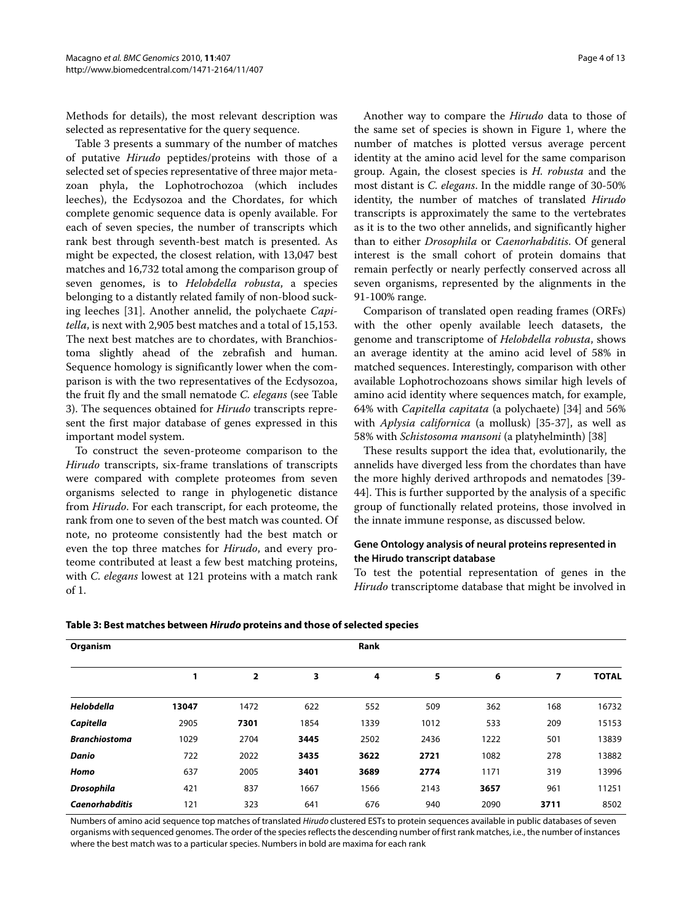Methods for details), the most relevant description was selected as representative for the query sequence.

Table 3 presents a summary of the number of matches of putative *Hirudo* peptides/proteins with those of a selected set of species representative of three major metazoan phyla, the Lophotrochozoa (which includes leeches), the Ecdysozoa and the Chordates, for which complete genomic sequence data is openly available. For each of seven species, the number of transcripts which rank best through seventh-best match is presented. As might be expected, the closest relation, with 13,047 best matches and 16,732 total among the comparison group of seven genomes, is to *Helobdella robusta*, a species belonging to a distantly related family of non-blood sucking leeches [[31\]](#page-11-10). Another annelid, the polychaete *Capitella*, is next with 2,905 best matches and a total of 15,153. The next best matches are to chordates, with Branchiostoma slightly ahead of the zebrafish and human. Sequence homology is significantly lower when the comparison is with the two representatives of the Ecdysozoa, the fruit fly and the small nematode *C. elegans* (see Table 3). The sequences obtained for *Hirudo* transcripts represent the first major database of genes expressed in this important model system.

To construct the seven-proteome comparison to the *Hirudo* transcripts, six-frame translations of transcripts were compared with complete proteomes from seven organisms selected to range in phylogenetic distance from *Hirudo*. For each transcript, for each proteome, the rank from one to seven of the best match was counted. Of note, no proteome consistently had the best match or even the top three matches for *Hirudo*, and every proteome contributed at least a few best matching proteins, with *C. elegans* lowest at 121 proteins with a match rank of 1.

Another way to compare the *Hirudo* data to those of the same set of species is shown in Figure [1](#page-4-0), where the number of matches is plotted versus average percent identity at the amino acid level for the same comparison group. Again, the closest species is *H. robusta* and the most distant is *C. elegans*. In the middle range of 30-50% identity, the number of matches of translated *Hirudo* transcripts is approximately the same to the vertebrates as it is to the two other annelids, and significantly higher than to either *Drosophila* or *Caenorhabditis*. Of general interest is the small cohort of protein domains that remain perfectly or nearly perfectly conserved across all seven organisms, represented by the alignments in the 91-100% range.

Comparison of translated open reading frames (ORFs) with the other openly available leech datasets, the genome and transcriptome of *Helobdella robusta*, shows an average identity at the amino acid level of 58% in matched sequences. Interestingly, comparison with other available Lophotrochozoans shows similar high levels of amino acid identity where sequences match, for example, 64% with *Capitella capitata* (a polychaete) [[34\]](#page-11-13) and 56% with *Aplysia californica* (a mollusk) [\[35](#page-11-14)-[37](#page-11-15)], as well as 58% with *Schistosoma mansoni* (a platyhelminth) [\[38](#page-11-16)]

These results support the idea that, evolutionarily, the annelids have diverged less from the chordates than have the more highly derived arthropods and nematodes [\[39](#page-11-17)- [44\]](#page-11-18). This is further supported by the analysis of a specific group of functionally related proteins, those involved in the innate immune response, as discussed below.

## **Gene Ontology analysis of neural proteins represented in the Hirudo transcript database**

To test the potential representation of genes in the *Hirudo* transcriptome database that might be involved in

| Organism              |       |                |      | Rank |      |      |                |              |
|-----------------------|-------|----------------|------|------|------|------|----------------|--------------|
|                       | 1     | $\overline{2}$ | 3    | 4    | 5    | 6    | $\overline{ }$ | <b>TOTAL</b> |
| Helobdella            | 13047 | 1472           | 622  | 552  | 509  | 362  | 168            | 16732        |
| <b>Capitella</b>      | 2905  | 7301           | 1854 | 1339 | 1012 | 533  | 209            | 15153        |
| <b>Branchiostoma</b>  | 1029  | 2704           | 3445 | 2502 | 2436 | 1222 | 501            | 13839        |
| Danio                 | 722   | 2022           | 3435 | 3622 | 2721 | 1082 | 278            | 13882        |
| Homo                  | 637   | 2005           | 3401 | 3689 | 2774 | 1171 | 319            | 13996        |
| <b>Drosophila</b>     | 421   | 837            | 1667 | 1566 | 2143 | 3657 | 961            | 11251        |
| <b>Caenorhabditis</b> | 121   | 323            | 641  | 676  | 940  | 2090 | 3711           | 8502         |

**Table 3: Best matches between Hirudo proteins and those of selected species**

Numbers of amino acid sequence top matches of translated Hirudo clustered ESTs to protein sequences available in public databases of seven organisms with sequenced genomes. The order of the species reflects the descending number of first rank matches, i.e., the number of instances where the best match was to a particular species. Numbers in bold are maxima for each rank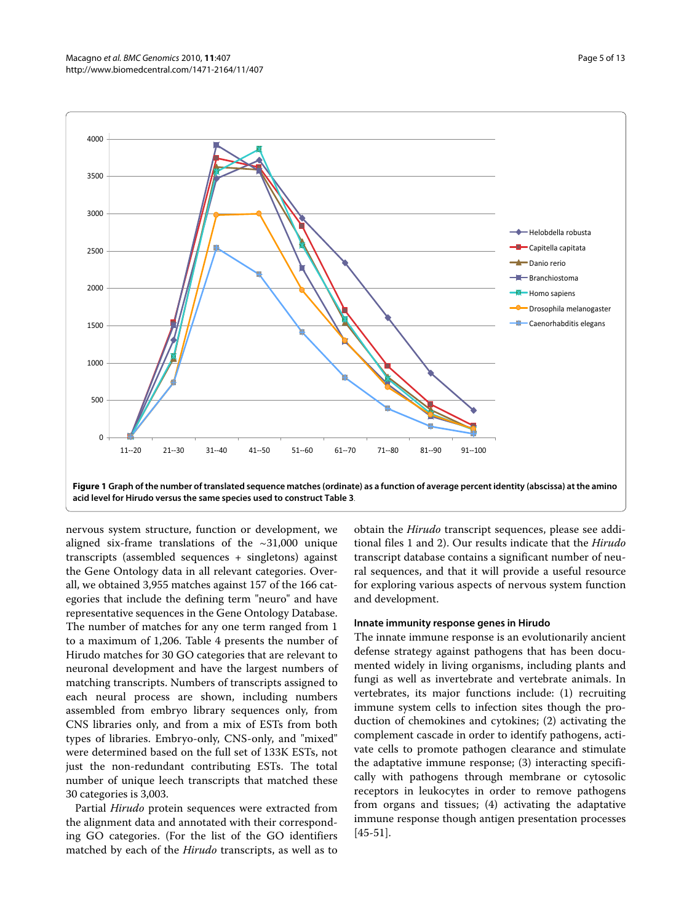<span id="page-4-0"></span>

**Figure 1 Graph of the number of translated sequence matches (ordinate) as a function of average percent identity (abscissa) at the amino acid level for Hirudo versus the same species used to construct Table 3**.

nervous system structure, function or development, we aligned six-frame translations of the  $\sim$ 31,000 unique transcripts (assembled sequences + singletons) against the Gene Ontology data in all relevant categories. Overall, we obtained 3,955 matches against 157 of the 166 categories that include the defining term "neuro" and have representative sequences in the Gene Ontology Database. The number of matches for any one term ranged from 1 to a maximum of 1,206. Table 4 presents the number of Hirudo matches for 30 GO categories that are relevant to neuronal development and have the largest numbers of matching transcripts. Numbers of transcripts assigned to each neural process are shown, including numbers assembled from embryo library sequences only, from CNS libraries only, and from a mix of ESTs from both types of libraries. Embryo-only, CNS-only, and "mixed" were determined based on the full set of 133K ESTs, not just the non-redundant contributing ESTs. The total number of unique leech transcripts that matched these 30 categories is 3,003.

Partial *Hirudo* protein sequences were extracted from the alignment data and annotated with their corresponding GO categories. (For the list of the GO identifiers matched by each of the *Hirudo* transcripts, as well as to

obtain the *Hirudo* transcript sequences, please see additional files [1](#page-10-6) and [2](#page-10-7)). Our results indicate that the *Hirudo* transcript database contains a significant number of neural sequences, and that it will provide a useful resource for exploring various aspects of nervous system function and development.

#### **Innate immunity response genes in Hirudo**

The innate immune response is an evolutionarily ancient defense strategy against pathogens that has been documented widely in living organisms, including plants and fungi as well as invertebrate and vertebrate animals. In vertebrates, its major functions include: (1) recruiting immune system cells to infection sites though the production of chemokines and cytokines; (2) activating the complement cascade in order to identify pathogens, activate cells to promote pathogen clearance and stimulate the adaptative immune response; (3) interacting specifically with pathogens through membrane or cytosolic receptors in leukocytes in order to remove pathogens from organs and tissues; (4) activating the adaptative immune response though antigen presentation processes [[45](#page-11-19)[-51](#page-11-20)].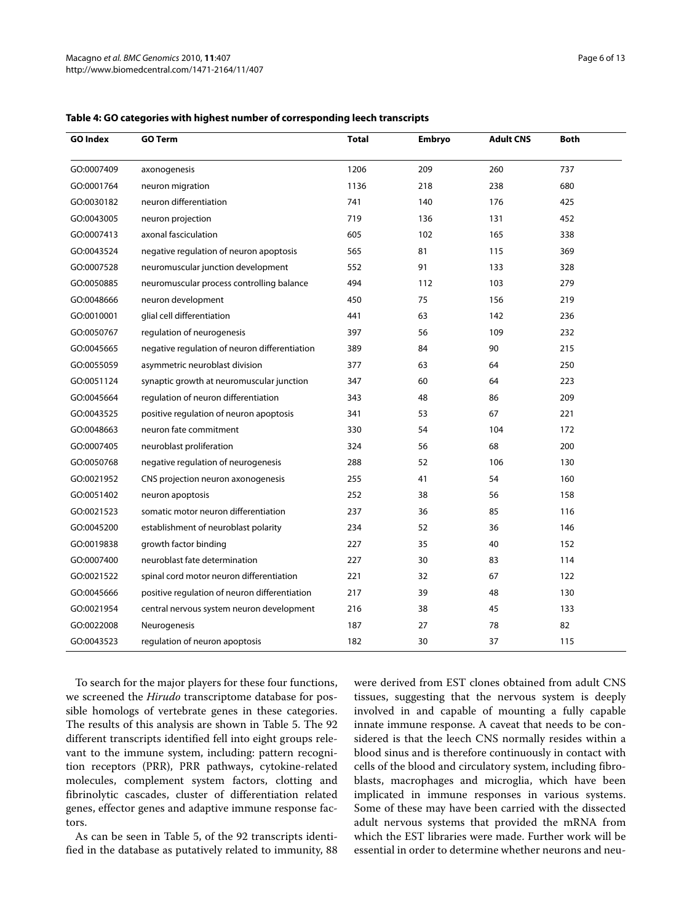#### **Table 4: GO categories with highest number of corresponding leech transcripts**

| <b>GO Index</b> | <b>GO Term</b>                                | <b>Total</b> | <b>Embryo</b> | <b>Adult CNS</b> | Both |
|-----------------|-----------------------------------------------|--------------|---------------|------------------|------|
| GO:0007409      | axonogenesis                                  | 1206         | 209           | 260              | 737  |
| GO:0001764      | neuron migration                              | 1136         | 218           | 238              | 680  |
| GO:0030182      | neuron differentiation                        | 741          | 140           | 176              | 425  |
| GO:0043005      | neuron projection                             | 719          | 136           | 131              | 452  |
| GO:0007413      | axonal fasciculation                          | 605          | 102           | 165              | 338  |
| GO:0043524      | negative regulation of neuron apoptosis       | 565          | 81            | 115              | 369  |
| GO:0007528      | neuromuscular junction development            | 552          | 91            | 133              | 328  |
| GO:0050885      | neuromuscular process controlling balance     | 494          | 112           | 103              | 279  |
| GO:0048666      | neuron development                            | 450          | 75            | 156              | 219  |
| GO:0010001      | glial cell differentiation                    | 441          | 63            | 142              | 236  |
| GO:0050767      | regulation of neurogenesis                    | 397          | 56            | 109              | 232  |
| GO:0045665      | negative regulation of neuron differentiation | 389          | 84            | 90               | 215  |
| GO:0055059      | asymmetric neuroblast division                | 377          | 63            | 64               | 250  |
| GO:0051124      | synaptic growth at neuromuscular junction     | 347          | 60            | 64               | 223  |
| GO:0045664      | regulation of neuron differentiation          | 343          | 48            | 86               | 209  |
| GO:0043525      | positive regulation of neuron apoptosis       | 341          | 53            | 67               | 221  |
| GO:0048663      | neuron fate commitment                        | 330          | 54            | 104              | 172  |
| GO:0007405      | neuroblast proliferation                      | 324          | 56            | 68               | 200  |
| GO:0050768      | negative regulation of neurogenesis           | 288          | 52            | 106              | 130  |
| GO:0021952      | CNS projection neuron axonogenesis            | 255          | 41            | 54               | 160  |
| GO:0051402      | neuron apoptosis                              | 252          | 38            | 56               | 158  |
| GO:0021523      | somatic motor neuron differentiation          | 237          | 36            | 85               | 116  |
| GO:0045200      | establishment of neuroblast polarity          | 234          | 52            | 36               | 146  |
| GO:0019838      | growth factor binding                         | 227          | 35            | 40               | 152  |
| GO:0007400      | neuroblast fate determination                 | 227          | 30            | 83               | 114  |
| GO:0021522      | spinal cord motor neuron differentiation      | 221          | 32            | 67               | 122  |
| GO:0045666      | positive regulation of neuron differentiation | 217          | 39            | 48               | 130  |
| GO:0021954      | central nervous system neuron development     | 216          | 38            | 45               | 133  |
| GO:0022008      | Neurogenesis                                  | 187          | 27            | 78               | 82   |
| GO:0043523      | regulation of neuron apoptosis                | 182          | 30            | 37               | 115  |

To search for the major players for these four functions, we screened the *Hirudo* transcriptome database for possible homologs of vertebrate genes in these categories. The results of this analysis are shown in Table [5](#page-6-0). The 92 different transcripts identified fell into eight groups relevant to the immune system, including: pattern recognition receptors (PRR), PRR pathways, cytokine-related molecules, complement system factors, clotting and fibrinolytic cascades, cluster of differentiation related genes, effector genes and adaptive immune response factors.

As can be seen in Table 5, of the 92 transcripts identified in the database as putatively related to immunity, 88 were derived from EST clones obtained from adult CNS tissues, suggesting that the nervous system is deeply involved in and capable of mounting a fully capable innate immune response. A caveat that needs to be considered is that the leech CNS normally resides within a blood sinus and is therefore continuously in contact with cells of the blood and circulatory system, including fibroblasts, macrophages and microglia, which have been implicated in immune responses in various systems. Some of these may have been carried with the dissected adult nervous systems that provided the mRNA from which the EST libraries were made. Further work will be essential in order to determine whether neurons and neu-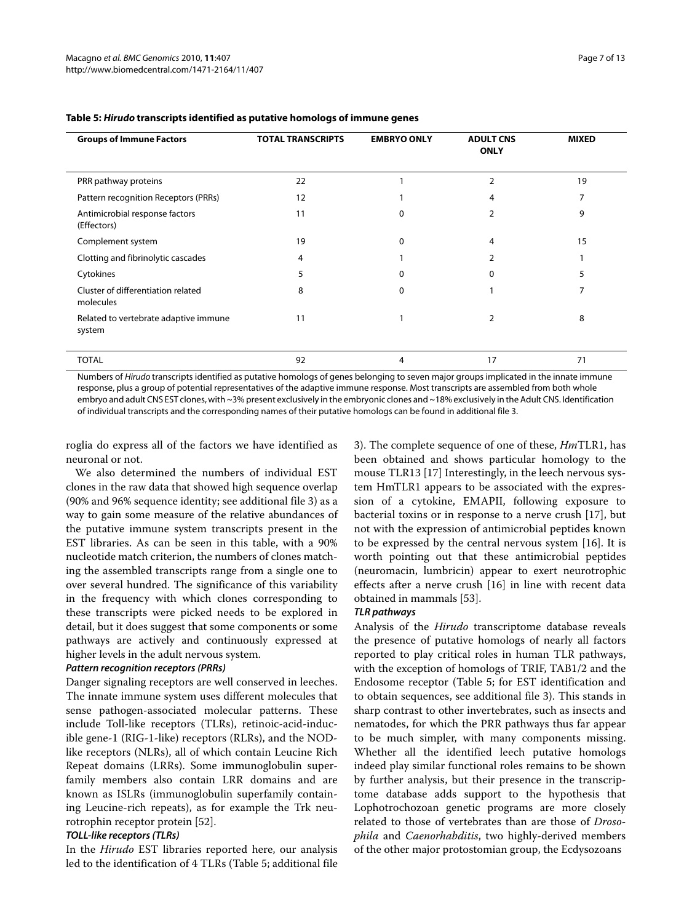| <b>Groups of Immune Factors</b>                 | <b>TOTAL TRANSCRIPTS</b> | <b>EMBRYO ONLY</b> | <b>ADULT CNS</b><br><b>ONLY</b> | <b>MIXED</b> |
|-------------------------------------------------|--------------------------|--------------------|---------------------------------|--------------|
| PRR pathway proteins                            | 22                       |                    | $\overline{2}$                  | 19           |
| Pattern recognition Receptors (PRRs)            | 12                       |                    | 4                               |              |
| Antimicrobial response factors<br>(Effectors)   | 11                       | 0                  |                                 | 9            |
| Complement system                               | 19                       | 0                  | 4                               | 15           |
| Clotting and fibrinolytic cascades              | 4                        |                    |                                 |              |
| Cytokines                                       | 5                        | $\Omega$           | 0                               | 5            |
| Cluster of differentiation related<br>molecules | 8                        | $\Omega$           |                                 |              |
| Related to vertebrate adaptive immune<br>system | 11                       |                    | $\overline{2}$                  | 8            |
| <b>TOTAL</b>                                    | 92                       | 4                  | 17                              | 71           |

## <span id="page-6-0"></span>**Table 5: Hirudo transcripts identified as putative homologs of immune genes**

Numbers of Hirudo transcripts identified as putative homologs of genes belonging to seven major groups implicated in the innate immune response, plus a group of potential representatives of the adaptive immune response. Most transcripts are assembled from both whole embryo and adult CNS EST clones, with ~3% present exclusively in the embryonic clones and ~18% exclusively in the Adult CNS. Identification of individual transcripts and the corresponding names of their putative homologs can be found in additional file [3](#page-10-8).

roglia do express all of the factors we have identified as neuronal or not.

We also determined the numbers of individual EST clones in the raw data that showed high sequence overlap (90% and 96% sequence identity; see additional file [3\)](#page-10-8) as a way to gain some measure of the relative abundances of the putative immune system transcripts present in the EST libraries. As can be seen in this table, with a 90% nucleotide match criterion, the numbers of clones matching the assembled transcripts range from a single one to over several hundred. The significance of this variability in the frequency with which clones corresponding to these transcripts were picked needs to be explored in detail, but it does suggest that some components or some pathways are actively and continuously expressed at higher levels in the adult nervous system.

#### **Pattern recognition receptors (PRRs)**

Danger signaling receptors are well conserved in leeches. The innate immune system uses different molecules that sense pathogen-associated molecular patterns. These include Toll-like receptors (TLRs), retinoic-acid-inducible gene-1 (RIG-1-like) receptors (RLRs), and the NODlike receptors (NLRs), all of which contain Leucine Rich Repeat domains (LRRs). Some immunoglobulin superfamily members also contain LRR domains and are known as ISLRs (immunoglobulin superfamily containing Leucine-rich repeats), as for example the Trk neurotrophin receptor protein [[52\]](#page-11-21).

### **TOLL-like receptors (TLRs)**

In the *Hirudo* EST libraries reported here, our analysis led to the identification of 4 TLRs (Table 5; additional file

[3\)](#page-10-8). The complete sequence of one of these, *Hm*TLR1, has been obtained and shows particular homology to the mouse TLR13 [[17](#page-10-9)] Interestingly, in the leech nervous system HmTLR1 appears to be associated with the expression of a cytokine, EMAPII, following exposure to bacterial toxins or in response to a nerve crush [[17](#page-10-9)], but not with the expression of antimicrobial peptides known to be expressed by the central nervous system [\[16\]](#page-10-10). It is worth pointing out that these antimicrobial peptides (neuromacin, lumbricin) appear to exert neurotrophic effects after a nerve crush [\[16](#page-10-10)] in line with recent data obtained in mammals [[53\]](#page-11-22).

#### **TLR pathways**

Analysis of the *Hirudo* transcriptome database reveals the presence of putative homologs of nearly all factors reported to play critical roles in human TLR pathways, with the exception of homologs of TRIF, TAB1/2 and the Endosome receptor (Table 5; for EST identification and to obtain sequences, see additional file [3](#page-10-8)). This stands in sharp contrast to other invertebrates, such as insects and nematodes, for which the PRR pathways thus far appear to be much simpler, with many components missing. Whether all the identified leech putative homologs indeed play similar functional roles remains to be shown by further analysis, but their presence in the transcriptome database adds support to the hypothesis that Lophotrochozoan genetic programs are more closely related to those of vertebrates than are those of *Drosophila* and *Caenorhabditis*, two highly-derived members of the other major protostomian group, the Ecdysozoans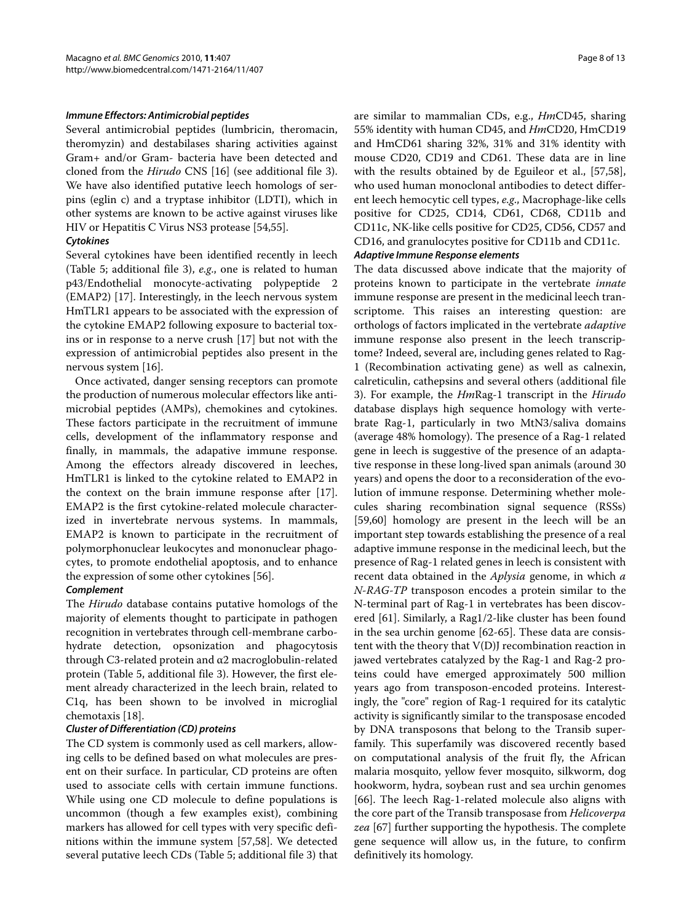#### **Immune Effectors: Antimicrobial peptides**

Several antimicrobial peptides (lumbricin, theromacin, theromyzin) and destabilases sharing activities against Gram+ and/or Gram- bacteria have been detected and cloned from the *Hirudo* CNS [[16\]](#page-10-10) (see additional file [3](#page-10-8)). We have also identified putative leech homologs of serpins (eglin c) and a tryptase inhibitor (LDTI), which in other systems are known to be active against viruses like HIV or Hepatitis C Virus NS3 protease [[54,](#page-11-23)[55\]](#page-11-24).

## **Cytokines**

Several cytokines have been identified recently in leech (Table 5; additional file [3](#page-10-8)), *e.g*., one is related to human p43/Endothelial monocyte-activating polypeptide 2 (EMAP2) [[17\]](#page-10-9). Interestingly, in the leech nervous system HmTLR1 appears to be associated with the expression of the cytokine EMAP2 following exposure to bacterial toxins or in response to a nerve crush [[17\]](#page-10-9) but not with the expression of antimicrobial peptides also present in the nervous system [\[16](#page-10-10)].

Once activated, danger sensing receptors can promote the production of numerous molecular effectors like antimicrobial peptides (AMPs), chemokines and cytokines. These factors participate in the recruitment of immune cells, development of the inflammatory response and finally, in mammals, the adapative immune response. Among the effectors already discovered in leeches, HmTLR1 is linked to the cytokine related to EMAP2 in the context on the brain immune response after [\[17](#page-10-9)]. EMAP2 is the first cytokine-related molecule characterized in invertebrate nervous systems. In mammals, EMAP2 is known to participate in the recruitment of polymorphonuclear leukocytes and mononuclear phagocytes, to promote endothelial apoptosis, and to enhance the expression of some other cytokines [[56\]](#page-11-25).

## **Complement**

The *Hirudo* database contains putative homologs of the majority of elements thought to participate in pathogen recognition in vertebrates through cell-membrane carbohydrate detection, opsonization and phagocytosis through C3-related protein and α2 macroglobulin-related protein (Table [5](#page-6-0), additional file [3](#page-10-8)). However, the first element already characterized in the leech brain, related to C1q, has been shown to be involved in microglial chemotaxis [[18\]](#page-10-11).

## **Cluster of Differentiation (CD) proteins**

The CD system is commonly used as cell markers, allowing cells to be defined based on what molecules are present on their surface. In particular, CD proteins are often used to associate cells with certain immune functions. While using one CD molecule to define populations is uncommon (though a few examples exist), combining markers has allowed for cell types with very specific definitions within the immune system [\[57](#page-11-26)[,58](#page-11-27)]. We detected several putative leech CDs (Table [5](#page-6-0); additional file [3\)](#page-10-8) that are similar to mammalian CDs, e.g., *Hm*CD45, sharing 55% identity with human CD45, and *Hm*CD20, HmCD19 and HmCD61 sharing 32%, 31% and 31% identity with mouse CD20, CD19 and CD61. These data are in line with the results obtained by de Eguileor et al., [\[57](#page-11-26)[,58](#page-11-27)], who used human monoclonal antibodies to detect different leech hemocytic cell types, *e.g*., Macrophage-like cells positive for CD25, CD14, CD61, CD68, CD11b and CD11c, NK-like cells positive for CD25, CD56, CD57 and CD16, and granulocytes positive for CD11b and CD11c. **Adaptive Immune Response elements**

## The data discussed above indicate that the majority of proteins known to participate in the vertebrate *innate* immune response are present in the medicinal leech transcriptome. This raises an interesting question: are orthologs of factors implicated in the vertebrate *adaptive* immune response also present in the leech transcriptome? Indeed, several are, including genes related to Rag-1 (Recombination activating gene) as well as calnexin, calreticulin, cathepsins and several others (additional file [3\)](#page-10-8). For example, the *Hm*Rag-1 transcript in the *Hirudo* database displays high sequence homology with vertebrate Rag-1, particularly in two MtN3/saliva domains (average 48% homology). The presence of a Rag-1 related gene in leech is suggestive of the presence of an adaptative response in these long-lived span animals (around 30 years) and opens the door to a reconsideration of the evolution of immune response. Determining whether molecules sharing recombination signal sequence (RSSs) [[59,](#page-11-28)[60\]](#page-11-29) homology are present in the leech will be an important step towards establishing the presence of a real adaptive immune response in the medicinal leech, but the presence of Rag-1 related genes in leech is consistent with recent data obtained in the *Aplysia* genome, in which *a N-RAG-TP* transposon encodes a protein similar to the N-terminal part of Rag-1 in vertebrates has been discovered [[61\]](#page-11-30). Similarly, a Rag1/2-like cluster has been found in the sea urchin genome [\[62-](#page-11-31)[65](#page-11-32)]. These data are consistent with the theory that V(D)J recombination reaction in jawed vertebrates catalyzed by the Rag-1 and Rag-2 proteins could have emerged approximately 500 million years ago from transposon-encoded proteins. Interestingly, the "core" region of Rag-1 required for its catalytic activity is significantly similar to the transposase encoded by DNA transposons that belong to the Transib superfamily. This superfamily was discovered recently based on computational analysis of the fruit fly, the African malaria mosquito, yellow fever mosquito, silkworm, dog hookworm, hydra, soybean rust and sea urchin genomes [[66\]](#page-12-0). The leech Rag-1-related molecule also aligns with the core part of the Transib transposase from *Helicoverpa zea* [\[67\]](#page-12-1) further supporting the hypothesis. The complete gene sequence will allow us, in the future, to confirm definitively its homology.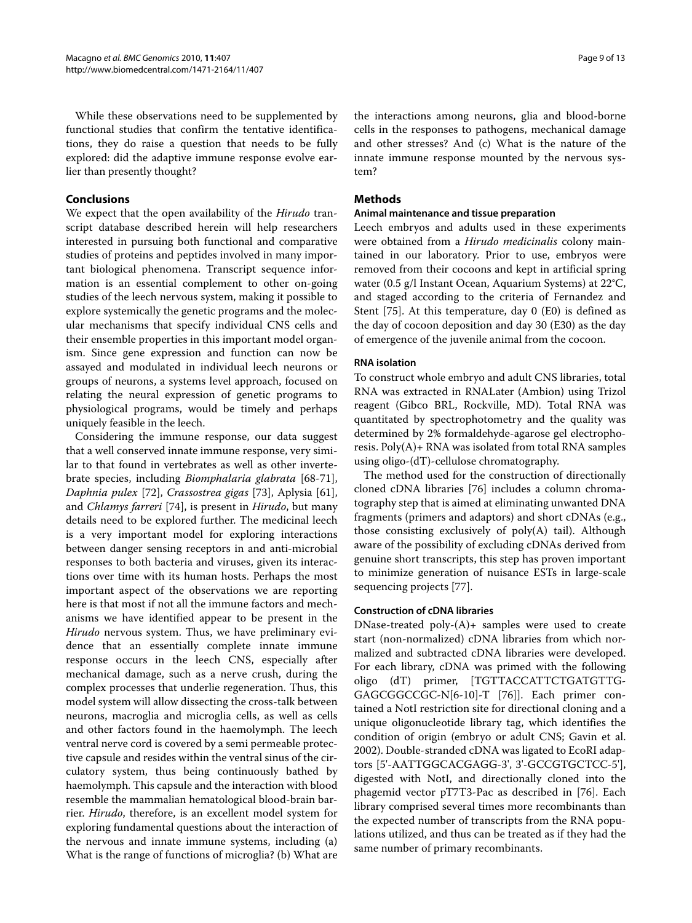While these observations need to be supplemented by functional studies that confirm the tentative identifications, they do raise a question that needs to be fully explored: did the adaptive immune response evolve earlier than presently thought?

## **Conclusions**

We expect that the open availability of the *Hirudo* transcript database described herein will help researchers interested in pursuing both functional and comparative studies of proteins and peptides involved in many important biological phenomena. Transcript sequence information is an essential complement to other on-going studies of the leech nervous system, making it possible to explore systemically the genetic programs and the molecular mechanisms that specify individual CNS cells and their ensemble properties in this important model organism. Since gene expression and function can now be assayed and modulated in individual leech neurons or groups of neurons, a systems level approach, focused on relating the neural expression of genetic programs to physiological programs, would be timely and perhaps uniquely feasible in the leech.

Considering the immune response, our data suggest that a well conserved innate immune response, very similar to that found in vertebrates as well as other invertebrate species, including *Biomphalaria glabrata* [[68-](#page-12-2)[71](#page-12-3)], *Daphnia pulex* [[72\]](#page-12-4), *Crassostrea gigas* [\[73](#page-12-5)], Aplysia [\[61](#page-11-30)], and *Chlamys farreri* [[74](#page-12-6)], is present in *Hirudo*, but many details need to be explored further. The medicinal leech is a very important model for exploring interactions between danger sensing receptors in and anti-microbial responses to both bacteria and viruses, given its interactions over time with its human hosts. Perhaps the most important aspect of the observations we are reporting here is that most if not all the immune factors and mechanisms we have identified appear to be present in the *Hirudo* nervous system. Thus, we have preliminary evidence that an essentially complete innate immune response occurs in the leech CNS, especially after mechanical damage, such as a nerve crush, during the complex processes that underlie regeneration. Thus, this model system will allow dissecting the cross-talk between neurons, macroglia and microglia cells, as well as cells and other factors found in the haemolymph. The leech ventral nerve cord is covered by a semi permeable protective capsule and resides within the ventral sinus of the circulatory system, thus being continuously bathed by haemolymph. This capsule and the interaction with blood resemble the mammalian hematological blood-brain barrier. *Hirudo*, therefore, is an excellent model system for exploring fundamental questions about the interaction of the nervous and innate immune systems, including (a) What is the range of functions of microglia? (b) What are

the interactions among neurons, glia and blood-borne cells in the responses to pathogens, mechanical damage and other stresses? And (c) What is the nature of the innate immune response mounted by the nervous system?

## **Methods**

### **Animal maintenance and tissue preparation**

Leech embryos and adults used in these experiments were obtained from a *Hirudo medicinalis* colony maintained in our laboratory. Prior to use, embryos were removed from their cocoons and kept in artificial spring water (0.5 g/l Instant Ocean, Aquarium Systems) at 22°C, and staged according to the criteria of Fernandez and Stent [[75](#page-12-7)]. At this temperature, day 0 (E0) is defined as the day of cocoon deposition and day 30 (E30) as the day of emergence of the juvenile animal from the cocoon.

## **RNA isolation**

To construct whole embryo and adult CNS libraries, total RNA was extracted in RNALater (Ambion) using Trizol reagent (Gibco BRL, Rockville, MD). Total RNA was quantitated by spectrophotometry and the quality was determined by 2% formaldehyde-agarose gel electrophoresis.  $Poly(A)$  + RNA was isolated from total RNA samples using oligo-(dT)-cellulose chromatography.

The method used for the construction of directionally cloned cDNA libraries [\[76\]](#page-12-8) includes a column chromatography step that is aimed at eliminating unwanted DNA fragments (primers and adaptors) and short cDNAs (e.g., those consisting exclusively of poly(A) tail). Although aware of the possibility of excluding cDNAs derived from genuine short transcripts, this step has proven important to minimize generation of nuisance ESTs in large-scale sequencing projects [[77](#page-12-9)].

#### **Construction of cDNA libraries**

DNase-treated poly-(A)+ samples were used to create start (non-normalized) cDNA libraries from which normalized and subtracted cDNA libraries were developed. For each library, cDNA was primed with the following oligo (dT) primer, [TGTTACCATTCTGATGTTG-GAGCGGCCGC-N[6-10]-T [[76\]](#page-12-8)]. Each primer contained a NotI restriction site for directional cloning and a unique oligonucleotide library tag, which identifies the condition of origin (embryo or adult CNS; Gavin et al. 2002). Double-stranded cDNA was ligated to EcoRI adaptors [5'-AATTGGCACGAGG-3', 3'-GCCGTGCTCC-5'], digested with NotI, and directionally cloned into the phagemid vector pT7T3-Pac as described in [[76](#page-12-8)]. Each library comprised several times more recombinants than the expected number of transcripts from the RNA populations utilized, and thus can be treated as if they had the same number of primary recombinants.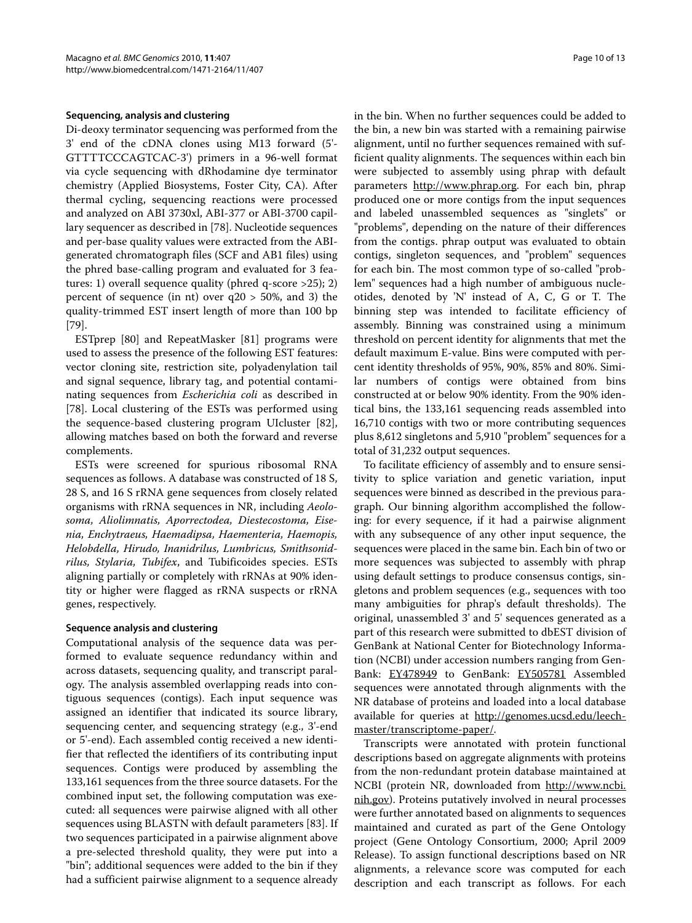#### **Sequencing, analysis and clustering**

Di-deoxy terminator sequencing was performed from the 3' end of the cDNA clones using M13 forward (5'- GTTTTCCCAGTCAC-3') primers in a 96-well format via cycle sequencing with dRhodamine dye terminator chemistry (Applied Biosystems, Foster City, CA). After thermal cycling, sequencing reactions were processed and analyzed on ABI 3730xl, ABI-377 or ABI-3700 capillary sequencer as described in [\[78](#page-12-10)]. Nucleotide sequences and per-base quality values were extracted from the ABIgenerated chromatograph files (SCF and AB1 files) using the phred base-calling program and evaluated for 3 features: 1) overall sequence quality (phred q-score >25); 2) percent of sequence (in nt) over  $q20 > 50\%$ , and 3) the quality-trimmed EST insert length of more than 100 bp [[79\]](#page-12-11).

ESTprep [\[80\]](#page-12-12) and RepeatMasker [\[81\]](#page-12-13) programs were used to assess the presence of the following EST features: vector cloning site, restriction site, polyadenylation tail and signal sequence, library tag, and potential contaminating sequences from *Escherichia coli* as described in [[78\]](#page-12-10). Local clustering of the ESTs was performed using the sequence-based clustering program UIcluster [\[82](#page-12-14)], allowing matches based on both the forward and reverse complements.

ESTs were screened for spurious ribosomal RNA sequences as follows. A database was constructed of 18 S, 28 S, and 16 S rRNA gene sequences from closely related organisms with rRNA sequences in NR, including *Aeolosoma, Aliolimnatis, Aporrectodea, Diestecostoma, Eisenia, Enchytraeus, Haemadipsa, Haementeria, Haemopis, Helobdella, Hirudo, Inanidrilus, Lumbricus, Smithsonidrilus, Stylaria, Tubifex*, and Tubificoides species. ESTs aligning partially or completely with rRNAs at 90% identity or higher were flagged as rRNA suspects or rRNA genes, respectively.

#### **Sequence analysis and clustering**

Computational analysis of the sequence data was performed to evaluate sequence redundancy within and across datasets, sequencing quality, and transcript paralogy. The analysis assembled overlapping reads into contiguous sequences (contigs). Each input sequence was assigned an identifier that indicated its source library, sequencing center, and sequencing strategy (e.g., 3'-end or 5'-end). Each assembled contig received a new identifier that reflected the identifiers of its contributing input sequences. Contigs were produced by assembling the 133,161 sequences from the three source datasets. For the combined input set, the following computation was executed: all sequences were pairwise aligned with all other sequences using BLASTN with default parameters [[83\]](#page-12-15). If two sequences participated in a pairwise alignment above a pre-selected threshold quality, they were put into a "bin"; additional sequences were added to the bin if they had a sufficient pairwise alignment to a sequence already in the bin. When no further sequences could be added to the bin, a new bin was started with a remaining pairwise alignment, until no further sequences remained with sufficient quality alignments. The sequences within each bin were subjected to assembly using phrap with default parameters [http://www.phrap.org.](http://www.phrap.org) For each bin, phrap produced one or more contigs from the input sequences and labeled unassembled sequences as "singlets" or "problems", depending on the nature of their differences from the contigs. phrap output was evaluated to obtain contigs, singleton sequences, and "problem" sequences for each bin. The most common type of so-called "problem" sequences had a high number of ambiguous nucleotides, denoted by 'N' instead of A, C, G or T. The binning step was intended to facilitate efficiency of assembly. Binning was constrained using a minimum threshold on percent identity for alignments that met the default maximum E-value. Bins were computed with percent identity thresholds of 95%, 90%, 85% and 80%. Similar numbers of contigs were obtained from bins constructed at or below 90% identity. From the 90% identical bins, the 133,161 sequencing reads assembled into 16,710 contigs with two or more contributing sequences plus 8,612 singletons and 5,910 "problem" sequences for a total of 31,232 output sequences.

To facilitate efficiency of assembly and to ensure sensitivity to splice variation and genetic variation, input sequences were binned as described in the previous paragraph. Our binning algorithm accomplished the following: for every sequence, if it had a pairwise alignment with any subsequence of any other input sequence, the sequences were placed in the same bin. Each bin of two or more sequences was subjected to assembly with phrap using default settings to produce consensus contigs, singletons and problem sequences (e.g., sequences with too many ambiguities for phrap's default thresholds). The original, unassembled 3' and 5' sequences generated as a part of this research were submitted to dbEST division of GenBank at National Center for Biotechnology Information (NCBI) under accession numbers ranging from Gen-Bank: [EY478949](http://www.ncbi.nih.gov/entrez/query.fcgi?db=Nucleotide&cmd=search&term=EY478949) to GenBank: [EY505781](http://www.ncbi.nih.gov/entrez/query.fcgi?db=Nucleotide&cmd=search&term=EY505781) Assembled sequences were annotated through alignments with the NR database of proteins and loaded into a local database available for queries at [http://genomes.ucsd.edu/leech](http://genomes.ucsd.edu/leechmaster/transcriptome-paper/)[master/transcriptome-paper/.](http://genomes.ucsd.edu/leechmaster/transcriptome-paper/)

Transcripts were annotated with protein functional descriptions based on aggregate alignments with proteins from the non-redundant protein database maintained at NCBI (protein NR, downloaded from [http://www.ncbi.](http://www.ncbi.nih.gov) [nih.gov\)](http://www.ncbi.nih.gov). Proteins putatively involved in neural processes were further annotated based on alignments to sequences maintained and curated as part of the Gene Ontology project (Gene Ontology Consortium, 2000; April 2009 Release). To assign functional descriptions based on NR alignments, a relevance score was computed for each description and each transcript as follows. For each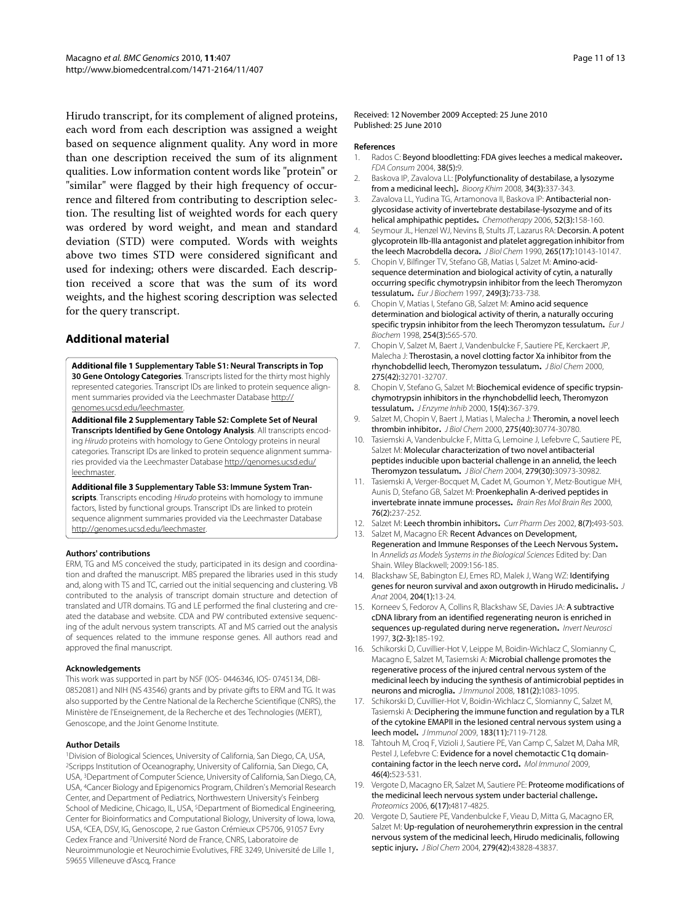Hirudo transcript, for its complement of aligned proteins, each word from each description was assigned a weight based on sequence alignment quality. Any word in more than one description received the sum of its alignment qualities. Low information content words like "protein" or "similar" were flagged by their high frequency of occurrence and filtered from contributing to description selection. The resulting list of weighted words for each query was ordered by word weight, and mean and standard deviation (STD) were computed. Words with weights above two times STD were considered significant and used for indexing; others were discarded. Each description received a score that was the sum of its word weights, and the highest scoring description was selected for the query transcript.

## **Additional material**

<span id="page-10-6"></span>**[Additional file 1](http://www.biomedcentral.com/content/supplementary/1471-2164-11-407-S1.HTM) Supplementary Table S1: Neural Transcripts in Top 30 Gene Ontology Categories**. Transcripts listed for the thirty most highly represented categories. Transcript IDs are linked to protein sequence alignment summaries provided via the Leechmaster Database [http://](http://genomes.ucsd.edu/leechmaster) [genomes.ucsd.edu/leechmaster.](http://genomes.ucsd.edu/leechmaster)

<span id="page-10-7"></span>**[Additional file 2](http://www.biomedcentral.com/content/supplementary/1471-2164-11-407-S2.HTM) Supplementary Table S2: Complete Set of Neural Transcripts Identified by Gene Ontology Analysis**. All transcripts encoding Hirudo proteins with homology to Gene Ontology proteins in neural categories. Transcript IDs are linked to protein sequence alignment summaries provided via the Leechmaster Database [http://genomes.ucsd.edu/](http://genomes.ucsd.edu/leechmaster) **[leechmaster](http://genomes.ucsd.edu/leechmaster)** 

<span id="page-10-8"></span>**[Additional file 3](http://www.biomedcentral.com/content/supplementary/1471-2164-11-407-S3.HTM) Supplementary Table S3: Immune System Transcripts**. Transcripts encoding Hirudo proteins with homology to immune factors, listed by functional groups. Transcript IDs are linked to protein sequence alignment summaries provided via the Leechmaster Database [http://genomes.ucsd.edu/leechmaster.](http://genomes.ucsd.edu/leechmaster)

#### **Authors' contributions**

ERM, TG and MS conceived the study, participated in its design and coordination and drafted the manuscript. MBS prepared the libraries used in this study and, along with TS and TC, carried out the initial sequencing and clustering. VB contributed to the analysis of transcript domain structure and detection of translated and UTR domains. TG and LE performed the final clustering and created the database and website. CDA and PW contributed extensive sequencing of the adult nervous system transcripts. AT and MS carried out the analysis of sequences related to the immune response genes. All authors read and approved the final manuscript.

#### **Acknowledgements**

This work was supported in part by NSF (IOS- 0446346, IOS- 0745134, DBI-0852081) and NIH (NS 43546) grants and by private gifts to ERM and TG. It was also supported by the Centre National de la Recherche Scientifique (CNRS), the Ministère de l'Enseignement, de la Recherche et des Technologies (MERT), Genoscope, and the Joint Genome Institute.

#### **Author Details**

1Division of Biological Sciences, University of California, San Diego, CA, USA, 2Scripps Institution of Oceanography, University of California, San Diego, CA, USA, 3Department of Computer Science, University of California, San Diego, CA, USA, 4Cancer Biology and Epigenomics Program, Children's Memorial Research Center, and Department of Pediatrics, Northwestern University's Feinberg School of Medicine, Chicago, IL, USA, 5Department of Biomedical Engineering, Center for Bioinformatics and Computational Biology, University of Iowa, Iowa, USA, 6CEA, DSV, IG, Genoscope, 2 rue Gaston Crémieux CP5706, 91057 Evry Cedex France and 7Université Nord de France, CNRS, Laboratoire de Neuroimmunologie et Neurochimie Evolutives, FRE 3249, Université de Lille 1, 59655 Villeneuve d'Ascq, France

#### **References**

- <span id="page-10-0"></span>1. Rados C: Beyond bloodletting: FDA gives leeches a medical makeover**.** FDA Consum 2004, 38(5):9.
- <span id="page-10-1"></span>2. Baskova IP, Zavalova LL: [Polyfunctionality of destabilase, a lysozyme from a medicinal leech]**.** Bioorg Khim 2008, 34(3):337-343.
- 3. Zavalova LL, Yudina TG, Artamonova II, Baskova IP: Antibacterial nonglycosidase activity of invertebrate destabilase-lysozyme and of its helical amphipathic peptides**.** Chemotherapy 2006, 52(3):158-160.
- 4. Seymour JL, Henzel WJ, Nevins B, Stults JT, Lazarus RA: Decorsin. A potent glycoprotein IIb-IIIa antagonist and platelet aggregation inhibitor from the leech Macrobdella decora**.** J Biol Chem 1990, 265(17):10143-10147.
- 5. Chopin V, Bilfinger TV, Stefano GB, Matias I, Salzet M: Amino-acidsequence determination and biological activity of cytin, a naturally occurring specific chymotrypsin inhibitor from the leech Theromyzon tessulatum**.** Eur J Biochem 1997, 249(3):733-738.
- 6. Chopin V, Matias I, Stefano GB, Salzet M: Amino acid sequence determination and biological activity of therin, a naturally occuring specific trypsin inhibitor from the leech Theromyzon tessulatum**.** Eur J Biochem 1998, 254(3):565-570.
- 7. Chopin V, Salzet M, Baert J, Vandenbulcke F, Sautiere PE, Kerckaert JP, Malecha J: Therostasin, a novel clotting factor Xa inhibitor from the rhynchobdellid leech, Theromyzon tessulatum**.** J Biol Chem 2000, 275(42):32701-32707.
- 8. Chopin V, Stefano G, Salzet M: Biochemical evidence of specific trypsinchymotrypsin inhibitors in the rhynchobdellid leech, Theromyzon tessulatum**.** J Enzyme Inhib 2000, 15(4):367-379.
- 9. Salzet M, Chopin V, Baert J, Matias J, Malecha J: Theromin, a novel leech thrombin inhibitor**.** J Biol Chem 2000, 275(40):30774-30780.
- 10. Tasiemski A, Vandenbulcke F, Mitta G, Lemoine J, Lefebvre C, Sautiere PE, Salzet M: Molecular characterization of two novel antibacterial peptides inducible upon bacterial challenge in an annelid, the leech Theromyzon tessulatum**.** J Biol Chem 2004, 279(30):30973-30982.
- 11. Tasiemski A, Verger-Bocquet M, Cadet M, Goumon Y, Metz-Boutigue MH, Aunis D, Stefano GB, Salzet M: Proenkephalin A-derived peptides in invertebrate innate immune processes**[.](http://www.ncbi.nlm.nih.gov/entrez/query.fcgi?cmd=Retrieve&db=PubMed&dopt=Abstract&list_uids=10762699)** Brain Res Mol Brain Res 2000, 76(2):237-252.
- <span id="page-10-2"></span>12. Salzet M: Leech thrombin inhibitors**.** Curr Pharm Des 2002, 8(7):493-503.
- <span id="page-10-3"></span>13. Salzet M, Macagno ER: Recent Advances on Development, Regeneration and Immune Responses of the Leech Nervous System**.** In Annelids as Models Systems in the Biological Sciences Edited by: Dan Shain. Wiley Blackwell; 2009:156-185.
- <span id="page-10-4"></span>14. Blackshaw SE, Babington EJ, Emes RD, Malek J, Wang WZ: Identifying genes for neuron survival and axon outgrowth in Hirudo medicinalis**.** J Anat 2004, 204(1):13-24.
- 15. Korneev S, Fedorov A, Collins R, Blackshaw SE, Davies JA: A subtractive cDNA library from an identified regenerating neuron is enriched in sequences up-regulated during nerve regeneration**[.](http://www.ncbi.nlm.nih.gov/entrez/query.fcgi?cmd=Retrieve&db=PubMed&dopt=Abstract&list_uids=9783443)** Invert Neurosci 1997, 3(2-3):185-192.
- <span id="page-10-10"></span>16. Schikorski D, Cuvillier-Hot V, Leippe M, Boidin-Wichlacz C, Slomianny C, Macagno E, Salzet M, Tasiemski A: Microbial challenge promotes the regenerative process of the injured central nervous system of the medicinal leech by inducing the synthesis of antimicrobial peptides in neurons and microglia**.** J Immunol 2008, 181(2):1083-1095.
- <span id="page-10-9"></span>17. Schikorski D, Cuvillier-Hot V, Boidin-Wichlacz C, Slomianny C, Salzet M, Tasiemski A: Deciphering the immune function and regulation by a TLR of the cytokine EMAPII in the lesioned central nervous system using a leech model**.** J Immunol 2009, 183(11):7119-7128.
- <span id="page-10-11"></span>18. Tahtouh M, Croq F, Vizioli J, Sautiere PE, Van Camp C, Salzet M, Daha MR, Pestel J, Lefebvre C: Evidence for a novel chemotactic C1q domaincontaining factor in the leech nerve cord**.** Mol Immunol 2009, 46(4):523-531.
- 19. Vergote D, Macagno ER, Salzet M, Sautiere PE: Proteome modifications of the medicinal leech nervous system under bacterial challenge**.** Proteomics 2006, 6(17):4817-4825.
- <span id="page-10-5"></span>20. Vergote D, Sautiere PE, Vandenbulcke F, Vieau D, Mitta G, Macagno ER, Salzet M: Up-regulation of neurohemerythrin expression in the central nervous system of the medicinal leech, Hirudo medicinalis, following septic injury**.** J Biol Chem 2004, 279(42):43828-43837.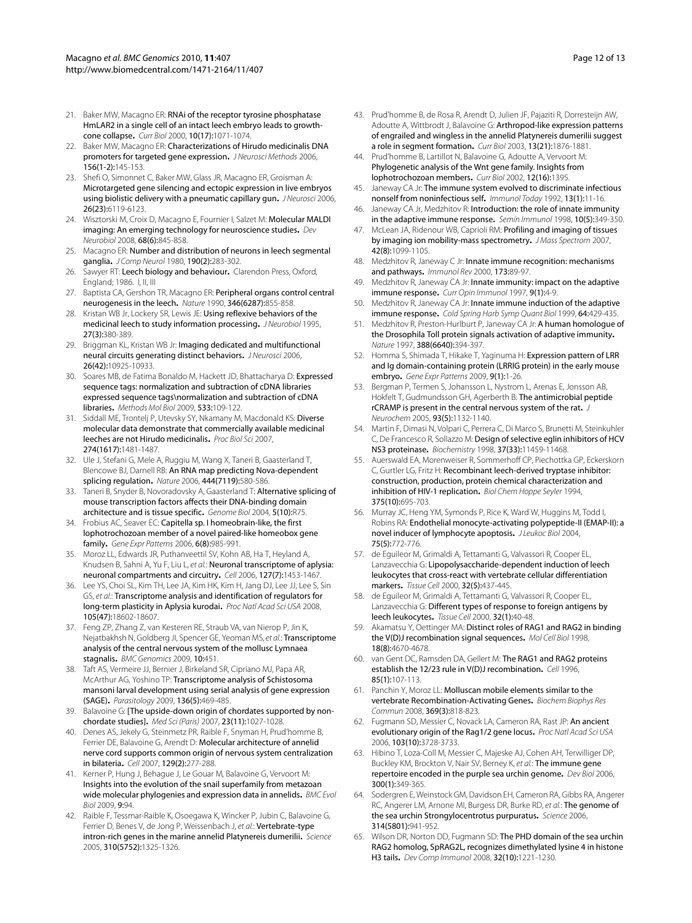- <span id="page-11-0"></span>21. Baker MW, Macagno ER: RNAi of the receptor tyrosine phosphatase HmLAR2 in a single cell of an intact leech embryo leads to growthcone collapse**.** Curr Biol 2000, 10(17):1071-1074.
- <span id="page-11-1"></span>22. Baker MW, Macagno ER: Characterizations of Hirudo medicinalis DNA promoters for targeted gene expression**.** J Neurosci Methods 2006, 156(1-2):145-153.
- <span id="page-11-2"></span>23. Shefi O, Simonnet C, Baker MW, Glass JR, Macagno ER, Groisman A: Microtargeted gene silencing and ectopic expression in live embryos using biolistic delivery with a pneumatic capillary gun**.** J Neurosci 2006, 26(23):6119-6123.
- <span id="page-11-3"></span>24. Wisztorski M, Croix D, Macagno E, Fournier I, Salzet M: Molecular MALDI imaging: An emerging technology for neuroscience studies**.** Dev Neurobiol 2008, 68(6):845-858.
- <span id="page-11-4"></span>25. Macagno ER: Number and distribution of neurons in leech segmental ganglia**.** J Comp Neurol 1980, 190(2):283-302.
- <span id="page-11-5"></span>26. Sawyer RT: Leech biology and behaviour**.** Clarendon Press, Oxford, England; 1986. I, II, III
- <span id="page-11-6"></span>27. Baptista CA, Gershon TR, Macagno ER: Peripheral organs control central neurogenesis in the leech**.** Nature 1990, 346(6287):855-858.
- <span id="page-11-7"></span>28. Kristan WB Jr, Lockery SR, Lewis JE: Using reflexive behaviors of the medicinal leech to study information processing**.** J Neurobiol 1995, 27(3):380-389.
- <span id="page-11-8"></span>29. Briggman KL, Kristan WB Jr: Imaging dedicated and multifunctional neural circuits generating distinct behaviors**.** J Neurosci 2006, 26(42):10925-10933.
- <span id="page-11-9"></span>30. Soares MB, de Fatima Bonaldo M, Hackett JD, Bhattacharya D: Expressed sequence tags: normalization and subtraction of cDNA libraries expressed sequence tags\normalization and subtraction of cDNA libraries**[.](http://www.ncbi.nlm.nih.gov/entrez/query.fcgi?cmd=Retrieve&db=PubMed&dopt=Abstract&list_uids=19277560)** Methods Mol Biol 2009, 533:109-122.
- <span id="page-11-10"></span>31. Siddall ME, Trontelj P, Utevsky SY, Nkamany M, Macdonald KS: Diverse molecular data demonstrate that commercially available medicinal leeches are not Hirudo medicinalis**.** Proc Biol Sci 2007, 274(1617):1481-1487.
- <span id="page-11-11"></span>32. Ule J, Stefani G, Mele A, Ruggiu M, Wang X, Taneri B, Gaasterland T, Blencowe BJ, Darnell RB: An RNA map predicting Nova-dependent splicing regulation**.** Nature 2006, 444(7119):580-586.
- <span id="page-11-12"></span>33. Taneri B, Snyder B, Novoradovsky A, Gaasterland T: Alternative splicing of mouse transcription factors affects their DNA-binding domain architecture and is tissue specific**.** Genome Biol 2004, 5(10):R75.
- <span id="page-11-13"></span>34. Frobius AC, Seaver EC: Capitella sp. I homeobrain-like, the first lophotrochozoan member of a novel paired-like homeobox gene family**.** Gene Expr Patterns 2006, 6(8):985-991.
- <span id="page-11-14"></span>35. Moroz LL, Edwards JR, Puthanveettil SV, Kohn AB, Ha T, Heyland A, Knudsen B, Sahni A, Yu F, Liu L, et al.: Neuronal transcriptome of aplysia: neuronal compartments and circuitry**.** Cell 2006, 127(7):1453-1467.
- 36. Lee YS, Choi SL, Kim TH, Lee JA, Kim HK, Kim H, Jang DJ, Lee JJ, Lee S, Sin GS, et al.: Transcriptome analysis and identification of regulators for long-term plasticity in Aplysia kurodai**.** Proc Natl Acad Sci USA 2008, 105(47):18602-18607.
- <span id="page-11-15"></span>37. Feng ZP, Zhang Z, van Kesteren RE, Straub VA, van Nierop P, Jin K, Nejatbakhsh N, Goldberg JI, Spencer GE, Yeoman MS, et al.: Transcriptome analysis of the central nervous system of the mollusc Lymnaea stagnalis**.** BMC Genomics 2009, 10:451.
- <span id="page-11-16"></span>38. Taft AS, Vermeire JJ, Bernier J, Birkeland SR, Cipriano MJ, Papa AR, McArthur AG, Yoshino TP: Transcriptome analysis of Schistosoma mansoni larval development using serial analysis of gene expression (SAGE)**.** Parasitology 2009, 136(5):469-485.
- <span id="page-11-17"></span>39. Balavoine G: [The upside-down origin of chordates supported by nonchordate studies]**.** Med Sci (Paris) 2007, 23(11):1027-1028.
- 40. Denes AS, Jekely G, Steinmetz PR, Raible F, Snyman H, Prud'homme B, Ferrier DE, Balavoine G, Arendt D: Molecular architecture of annelid nerve cord supports common origin of nervous system centralization in bilateria**.** Cell 2007, 129(2):277-288.
- 41. Kerner P, Hung J, Behague J, Le Gouar M, Balavoine G, Vervoort M: Insights into the evolution of the snail superfamily from metazoan wide molecular phylogenies and expression data in annelids**.** BMC Evol Biol 2009, 9:94.
- 42. Raible F, Tessmar-Raible K, Osoegawa K, Wincker P, Jubin C, Balavoine G, Ferrier D, Benes V, de Jong P, Weissenbach J, et al.: Vertebrate-type intron-rich genes in the marine annelid Platynereis dumerilii**[.](http://www.ncbi.nlm.nih.gov/entrez/query.fcgi?cmd=Retrieve&db=PubMed&dopt=Abstract&list_uids=16311335)** Science 2005, 310(5752):1325-1326.
- 43. Prud'homme B, de Rosa R, Arendt D, Julien JF, Pajaziti R, Dorresteijn AW, Adoutte A, Wittbrodt J, Balavoine G: Arthropod-like expression patterns of engrailed and wingless in the annelid Platynereis dumerilii suggest a role in segment formation**.** Curr Biol 2003, 13(21):1876-1881.
- <span id="page-11-18"></span>44. Prud'homme B, Lartillot N, Balavoine G, Adoutte A, Vervoort M: Phylogenetic analysis of the Wnt gene family. Insights from lophotrochozoan members**.** Curr Biol 2002, 12(16):1395.
- <span id="page-11-19"></span>45. Janeway CA Jr: The immune system evolved to discriminate infectious nonself from noninfectious self**.** Immunol Today 1992, 13(1):11-16.
- 46. Janeway CA Jr, Medzhitov R: Introduction: the role of innate immunity in the adaptive immune response**.** Semin Immunol 1998, 10(5):349-350.
- 47. McLean JA, Ridenour WB, Caprioli RM: Profiling and imaging of tissues by imaging ion mobility-mass spectrometry**.** J Mass Spectrom 2007, 42(8):1099-1105.
- 48. Medzhitov R, Janeway C Jr: Innate immune recognition: mechanisms and pathways**.** Immunol Rev 2000, 173:89-97.
- 49. Medzhitov R, Janeway CA Jr: Innate immunity: impact on the adaptive immune response**.** Curr Opin Immunol 1997, 9(1):4-9.
- 50. Medzhitov R, Janeway CA Jr: Innate immune induction of the adaptive immune response**.** Cold Spring Harb Symp Quant Biol 1999, 64:429-435.
- <span id="page-11-20"></span>51. Medzhitov R, Preston-Hurlburt P, Janeway CA Jr: A human homologue of the Drosophila Toll protein signals activation of adaptive immunity**.** Nature 1997, 388(6640):394-397.
- <span id="page-11-21"></span>52. Homma S, Shimada T, Hikake T, Yaginuma H: Expression pattern of LRR and Ig domain-containing protein (LRRIG protein) in the early mouse embryo**.** Gene Expr Patterns 2009, 9(1):1-26.
- <span id="page-11-22"></span>53. Bergman P, Termen S, Johansson L, Nystrom L, Arenas E, Jonsson AB, Hokfelt T, Gudmundsson GH, Agerberth B: The antimicrobial peptide rCRAMP is present in the central nervous system of the rat**.** J Neurochem 2005, 93(5):1132-1140.
- <span id="page-11-23"></span>54. Martin F, Dimasi N, Volpari C, Perrera C, Di Marco S, Brunetti M, Steinkuhler C, De Francesco R, Sollazzo M: Design of selective eglin inhibitors of HCV NS3 proteinase**.** Biochemistry 1998, 37(33):11459-11468.
- <span id="page-11-24"></span>55. Auerswald EA, Morenweiser R, Sommerhoff CP, Piechottka GP, Eckerskorn C, Gurtler LG, Fritz H: Recombinant leech-derived tryptase inhibitor: construction, production, protein chemical characterization and inhibition of HIV-1 replication**[.](http://www.ncbi.nlm.nih.gov/entrez/query.fcgi?cmd=Retrieve&db=PubMed&dopt=Abstract&list_uids=7888082)** Biol Chem Hoppe Seyler 1994, 375(10):695-703.
- <span id="page-11-25"></span>56. Murray JC, Heng YM, Symonds P, Rice K, Ward W, Huggins M, Todd I, Robins RA: Endothelial monocyte-activating polypeptide-II (EMAP-II): a novel inducer of lymphocyte apoptosis**.** J Leukoc Biol 2004, 75(5):772-776.
- <span id="page-11-26"></span>57. de Eguileor M, Grimaldi A, Tettamanti G, Valvassori R, Cooper EL, Lanzavecchia G: Lipopolysaccharide-dependent induction of leech leukocytes that cross-react with vertebrate cellular differentiation markers**.** Tissue Cell 2000, 32(5):437-445.
- <span id="page-11-27"></span>58. de Eguileor M, Grimaldi A, Tettamanti G, Valvassori R, Cooper EL, Lanzavecchia G: Different types of response to foreign antigens by leech leukocytes**.** Tissue Cell 2000, 32(1):40-48.
- <span id="page-11-28"></span>Akamatsu Y, Oettinger MA: Distinct roles of RAG1 and RAG2 in binding the V(D)J recombination signal sequences**.** Mol Cell Biol 1998, 18(8):4670-4678.
- <span id="page-11-29"></span>60. van Gent DC, Ramsden DA, Gellert M: The RAG1 and RAG2 proteins establish the 12/23 rule in V(D)J recombination**.** Cell 1996, 85(1):107-113.
- <span id="page-11-30"></span>61. Panchin Y, Moroz LL: Molluscan mobile elements similar to the vertebrate Recombination-Activating Genes**.** Biochem Biophys Res Commun 2008, 369(3):818-823.
- <span id="page-11-31"></span>62. Fugmann SD, Messier C, Novack LA, Cameron RA, Rast JP: An ancient evolutionary origin of the Rag1/2 gene locus**.** Proc Natl Acad Sci USA 2006, 103(10):3728-3733.
- 63. Hibino T, Loza-Coll M, Messier C, Majeske AJ, Cohen AH, Terwilliger DP, Buckley KM, Brockton V, Nair SV, Berney K, et al.: The immune gene repertoire encoded in the purple sea urchin genome**.** Dev Biol 2006, 300(1):349-365.
- 64. Sodergren E, Weinstock GM, Davidson EH, Cameron RA, Gibbs RA, Angerer RC, Angerer LM, Arnone MI, Burgess DR, Burke RD, et al.: The genome of the sea urchin Strongylocentrotus purpuratus**.** Science 2006, 314(5801):941-952.
- <span id="page-11-32"></span>Wilson DR, Norton DD, Fugmann SD: The PHD domain of the sea urchin RAG2 homolog, SpRAG2L, recognizes dimethylated lysine 4 in histone H3 tails**.** Dev Comp Immunol 2008, 32(10):1221-1230.